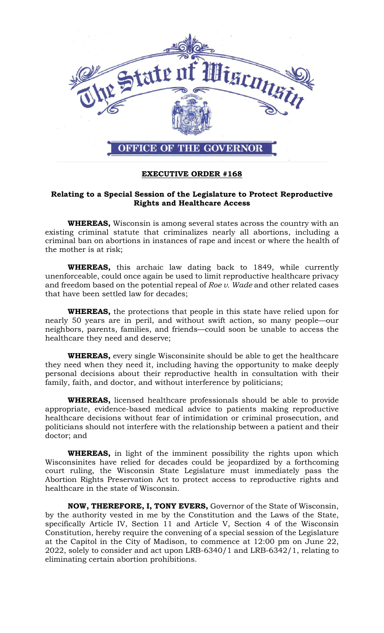

## **EXECUTIVE ORDER #168**

## **Relating to a Special Session of the Legislature to Protect Reproductive Rights and Healthcare Access**

**WHEREAS,** Wisconsin is among several states across the country with an existing criminal statute that criminalizes nearly all abortions, including a criminal ban on abortions in instances of rape and incest or where the health of the mother is at risk;

**WHEREAS,** this archaic law dating back to 1849, while currently unenforceable, could once again be used to limit reproductive healthcare privacy and freedom based on the potential repeal of *Roe v. Wade* and other related cases that have been settled law for decades;

**WHEREAS,** the protections that people in this state have relied upon for nearly 50 years are in peril, and without swift action, so many people—our neighbors, parents, families, and friends—could soon be unable to access the healthcare they need and deserve;

**WHEREAS,** every single Wisconsinite should be able to get the healthcare they need when they need it, including having the opportunity to make deeply personal decisions about their reproductive health in consultation with their family, faith, and doctor, and without interference by politicians;

**WHEREAS,** licensed healthcare professionals should be able to provide appropriate, evidence-based medical advice to patients making reproductive healthcare decisions without fear of intimidation or criminal prosecution, and politicians should not interfere with the relationship between a patient and their doctor; and

**WHEREAS,** in light of the imminent possibility the rights upon which Wisconsinites have relied for decades could be jeopardized by a forthcoming court ruling, the Wisconsin State Legislature must immediately pass the Abortion Rights Preservation Act to protect access to reproductive rights and healthcare in the state of Wisconsin.

**NOW, THEREFORE, I, TONY EVERS,** Governor of the State of Wisconsin, by the authority vested in me by the Constitution and the Laws of the State, specifically Article IV, Section 11 and Article V, Section 4 of the Wisconsin Constitution, hereby require the convening of a special session of the Legislature at the Capitol in the City of Madison, to commence at 12:00 pm on June 22, 2022, solely to consider and act upon LRB-6340/1 and LRB-6342/1, relating to eliminating certain abortion prohibitions.